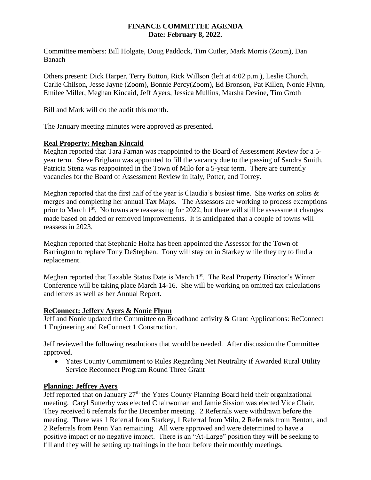#### **FINANCE COMMITTEE AGENDA Date: February 8, 2022.**

Committee members: Bill Holgate, Doug Paddock, Tim Cutler, Mark Morris (Zoom), Dan Banach

Others present: Dick Harper, Terry Button, Rick Willson (left at 4:02 p.m.), Leslie Church, Carlie Chilson, Jesse Jayne (Zoom), Bonnie Percy(Zoom), Ed Bronson, Pat Killen, Nonie Flynn, Emilee Miller, Meghan Kincaid, Jeff Ayers, Jessica Mullins, Marsha Devine, Tim Groth

Bill and Mark will do the audit this month.

The January meeting minutes were approved as presented.

#### **Real Property: Meghan Kincaid**

Meghan reported that Tara Farnan was reappointed to the Board of Assessment Review for a 5 year term. Steve Brigham was appointed to fill the vacancy due to the passing of Sandra Smith. Patricia Stenz was reappointed in the Town of Milo for a 5-year term. There are currently vacancies for the Board of Assessment Review in Italy, Potter, and Torrey.

Meghan reported that the first half of the year is Claudia's busiest time. She works on splits & merges and completing her annual Tax Maps. The Assessors are working to process exemptions prior to March 1<sup>st</sup>. No towns are reassessing for 2022, but there will still be assessment changes made based on added or removed improvements. It is anticipated that a couple of towns will reassess in 2023.

Meghan reported that Stephanie Holtz has been appointed the Assessor for the Town of Barrington to replace Tony DeStephen. Tony will stay on in Starkey while they try to find a replacement.

Meghan reported that Taxable Status Date is March 1<sup>st</sup>. The Real Property Director's Winter Conference will be taking place March 14-16. She will be working on omitted tax calculations and letters as well as her Annual Report.

#### **ReConnect: Jeffery Ayers & Nonie Flynn**

Jeff and Nonie updated the Committee on Broadband activity & Grant Applications: ReConnect 1 Engineering and ReConnect 1 Construction.

Jeff reviewed the following resolutions that would be needed. After discussion the Committee approved.

 Yates County Commitment to Rules Regarding Net Neutrality if Awarded Rural Utility Service Reconnect Program Round Three Grant

## **Planning: Jeffrey Ayers**

Jeff reported that on January  $27<sup>th</sup>$  the Yates County Planning Board held their organizational meeting. Caryl Sutterby was elected Chairwoman and Jamie Sission was elected Vice Chair. They received 6 referrals for the December meeting. 2 Referrals were withdrawn before the meeting. There was 1 Referral from Starkey, 1 Referral from Milo, 2 Referrals from Benton, and 2 Referrals from Penn Yan remaining. All were approved and were determined to have a positive impact or no negative impact. There is an "At-Large" position they will be seeking to fill and they will be setting up trainings in the hour before their monthly meetings.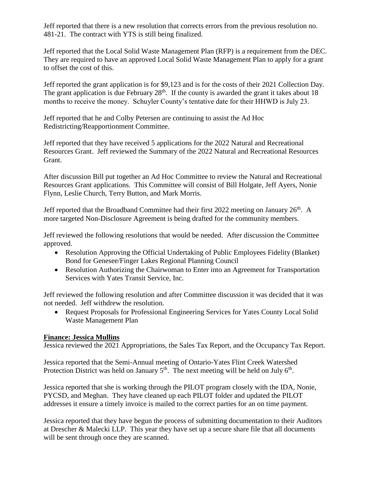Jeff reported that there is a new resolution that corrects errors from the previous resolution no. 481-21. The contract with YTS is still being finalized.

Jeff reported that the Local Solid Waste Management Plan (RFP) is a requirement from the DEC. They are required to have an approved Local Solid Waste Management Plan to apply for a grant to offset the cost of this.

Jeff reported the grant application is for \$9,123 and is for the costs of their 2021 Collection Day. The grant application is due February  $28<sup>th</sup>$ . If the county is awarded the grant it takes about 18 months to receive the money. Schuyler County's tentative date for their HHWD is July 23.

Jeff reported that he and Colby Petersen are continuing to assist the Ad Hoc Redistricting/Reapportionment Committee.

Jeff reported that they have received 5 applications for the 2022 Natural and Recreational Resources Grant. Jeff reviewed the Summary of the 2022 Natural and Recreational Resources Grant.

After discussion Bill put together an Ad Hoc Committee to review the Natural and Recreational Resources Grant applications. This Committee will consist of Bill Holgate, Jeff Ayers, Nonie Flynn, Leslie Church, Terry Button, and Mark Morris.

Jeff reported that the Broadband Committee had their first 2022 meeting on January 26th. A more targeted Non-Disclosure Agreement is being drafted for the community members.

Jeff reviewed the following resolutions that would be needed. After discussion the Committee approved.

- Resolution Approving the Official Undertaking of Public Employees Fidelity (Blanket) Bond for Genesee/Finger Lakes Regional Planning Council
- Resolution Authorizing the Chairwoman to Enter into an Agreement for Transportation Services with Yates Transit Service, Inc.

Jeff reviewed the following resolution and after Committee discussion it was decided that it was not needed. Jeff withdrew the resolution.

• Request Proposals for Professional Engineering Services for Yates County Local Solid Waste Management Plan

## **Finance: Jessica Mullins**

Jessica reviewed the 2021 Appropriations, the Sales Tax Report, and the Occupancy Tax Report.

Jessica reported that the Semi-Annual meeting of Ontario-Yates Flint Creek Watershed Protection District was held on January  $5<sup>th</sup>$ . The next meeting will be held on July  $6<sup>th</sup>$ .

Jessica reported that she is working through the PILOT program closely with the IDA, Nonie, PYCSD, and Meghan. They have cleaned up each PILOT folder and updated the PILOT addresses it ensure a timely invoice is mailed to the correct parties for an on time payment.

Jessica reported that they have begun the process of submitting documentation to their Auditors at Drescher & Malecki LLP. This year they have set up a secure share file that all documents will be sent through once they are scanned.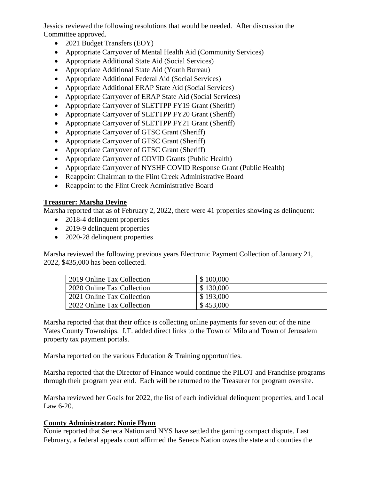Jessica reviewed the following resolutions that would be needed. After discussion the Committee approved.

- 2021 Budget Transfers (EOY)
- Appropriate Carryover of Mental Health Aid (Community Services)
- Appropriate Additional State Aid (Social Services)
- Appropriate Additional State Aid (Youth Bureau)
- Appropriate Additional Federal Aid (Social Services)
- Appropriate Additional ERAP State Aid (Social Services)
- Appropriate Carryover of ERAP State Aid (Social Services)
- Appropriate Carryover of SLETTPP FY19 Grant (Sheriff)
- Appropriate Carryover of SLETTPP FY20 Grant (Sheriff)
- Appropriate Carryover of SLETTPP FY21 Grant (Sheriff)
- Appropriate Carryover of GTSC Grant (Sheriff)
- Appropriate Carryover of GTSC Grant (Sheriff)
- Appropriate Carryover of GTSC Grant (Sheriff)
- Appropriate Carryover of COVID Grants (Public Health)
- Appropriate Carryover of NYSHF COVID Response Grant (Public Health)
- Reappoint Chairman to the Flint Creek Administrative Board
- Reappoint to the Flint Creek Administrative Board

## **Treasurer: Marsha Devine**

Marsha reported that as of February 2, 2022, there were 41 properties showing as delinquent:

- 2018-4 delinquent properties
- 2019-9 delinquent properties
- 2020-28 delinquent properties

Marsha reviewed the following previous years Electronic Payment Collection of January 21, 2022, \$435,000 has been collected.

| 2019 Online Tax Collection | \$100,000 |
|----------------------------|-----------|
| 2020 Online Tax Collection | \$130,000 |
| 2021 Online Tax Collection | \$193,000 |
| 2022 Online Tax Collection | \$453,000 |

Marsha reported that that their office is collecting online payments for seven out of the nine Yates County Townships. I.T. added direct links to the Town of Milo and Town of Jerusalem property tax payment portals.

Marsha reported on the various Education & Training opportunities.

Marsha reported that the Director of Finance would continue the PILOT and Franchise programs through their program year end. Each will be returned to the Treasurer for program oversite.

Marsha reviewed her Goals for 2022, the list of each individual delinquent properties, and Local Law 6-20.

## **County Administrator: Nonie Flynn**

Nonie reported that Seneca Nation and NYS have settled the gaming compact dispute. Last February, a federal appeals court affirmed the Seneca Nation owes the state and counties the